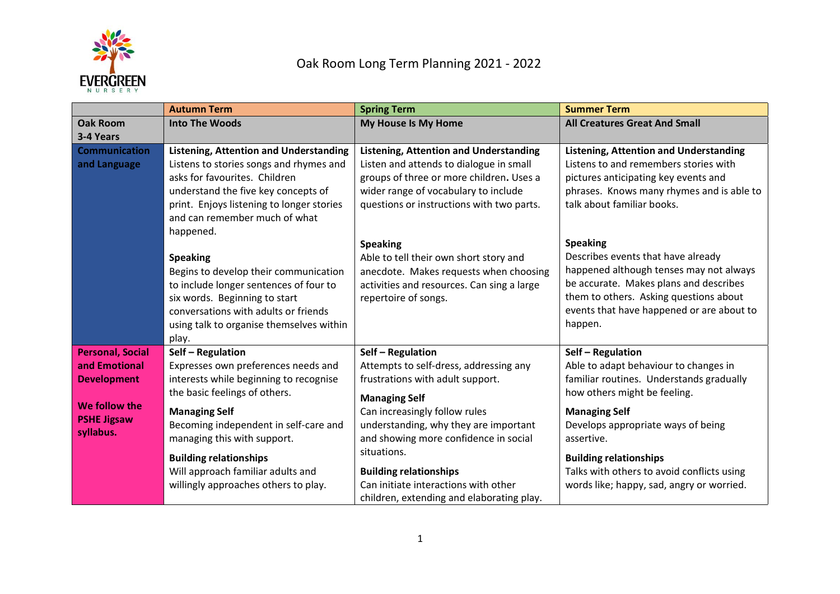

|                                          | <b>Autumn Term</b>                                                            | <b>Spring Term</b>                                                         | <b>Summer Term</b>                                                                |
|------------------------------------------|-------------------------------------------------------------------------------|----------------------------------------------------------------------------|-----------------------------------------------------------------------------------|
| <b>Oak Room</b>                          | <b>Into The Woods</b>                                                         | <b>My House Is My Home</b>                                                 | <b>All Creatures Great And Small</b>                                              |
| 3-4 Years                                |                                                                               |                                                                            |                                                                                   |
| <b>Communication</b>                     | <b>Listening, Attention and Understanding</b>                                 | <b>Listening, Attention and Understanding</b>                              | <b>Listening, Attention and Understanding</b>                                     |
| and Language                             | Listens to stories songs and rhymes and                                       | Listen and attends to dialogue in small                                    | Listens to and remembers stories with                                             |
|                                          | asks for favourites. Children                                                 | groups of three or more children. Uses a                                   | pictures anticipating key events and                                              |
|                                          | understand the five key concepts of                                           | wider range of vocabulary to include                                       | phrases. Knows many rhymes and is able to                                         |
|                                          | print. Enjoys listening to longer stories                                     | questions or instructions with two parts.                                  | talk about familiar books.                                                        |
|                                          | and can remember much of what                                                 |                                                                            |                                                                                   |
|                                          | happened.                                                                     |                                                                            |                                                                                   |
|                                          |                                                                               | <b>Speaking</b>                                                            | <b>Speaking</b>                                                                   |
|                                          | <b>Speaking</b>                                                               | Able to tell their own short story and                                     | Describes events that have already                                                |
|                                          | Begins to develop their communication                                         | anecdote. Makes requests when choosing                                     | happened although tenses may not always                                           |
|                                          | to include longer sentences of four to                                        | activities and resources. Can sing a large                                 | be accurate. Makes plans and describes                                            |
|                                          | six words. Beginning to start                                                 | repertoire of songs.                                                       | them to others. Asking questions about                                            |
|                                          | conversations with adults or friends                                          |                                                                            | events that have happened or are about to                                         |
|                                          | using talk to organise themselves within                                      |                                                                            | happen.                                                                           |
|                                          | play.                                                                         |                                                                            |                                                                                   |
| <b>Personal, Social</b><br>and Emotional | Self - Regulation                                                             | Self - Regulation                                                          | Self - Regulation                                                                 |
|                                          | Expresses own preferences needs and<br>interests while beginning to recognise | Attempts to self-dress, addressing any<br>frustrations with adult support. | Able to adapt behaviour to changes in<br>familiar routines. Understands gradually |
| <b>Development</b>                       | the basic feelings of others.                                                 |                                                                            | how others might be feeling.                                                      |
| We follow the                            |                                                                               | <b>Managing Self</b>                                                       |                                                                                   |
| <b>PSHE Jigsaw</b>                       | <b>Managing Self</b>                                                          | Can increasingly follow rules                                              | <b>Managing Self</b>                                                              |
| syllabus.                                | Becoming independent in self-care and                                         | understanding, why they are important                                      | Develops appropriate ways of being                                                |
|                                          | managing this with support.                                                   | and showing more confidence in social                                      | assertive.                                                                        |
|                                          | <b>Building relationships</b>                                                 | situations.                                                                | <b>Building relationships</b>                                                     |
|                                          | Will approach familiar adults and                                             | <b>Building relationships</b>                                              | Talks with others to avoid conflicts using                                        |
|                                          | willingly approaches others to play.                                          | Can initiate interactions with other                                       | words like; happy, sad, angry or worried.                                         |
|                                          |                                                                               | children, extending and elaborating play.                                  |                                                                                   |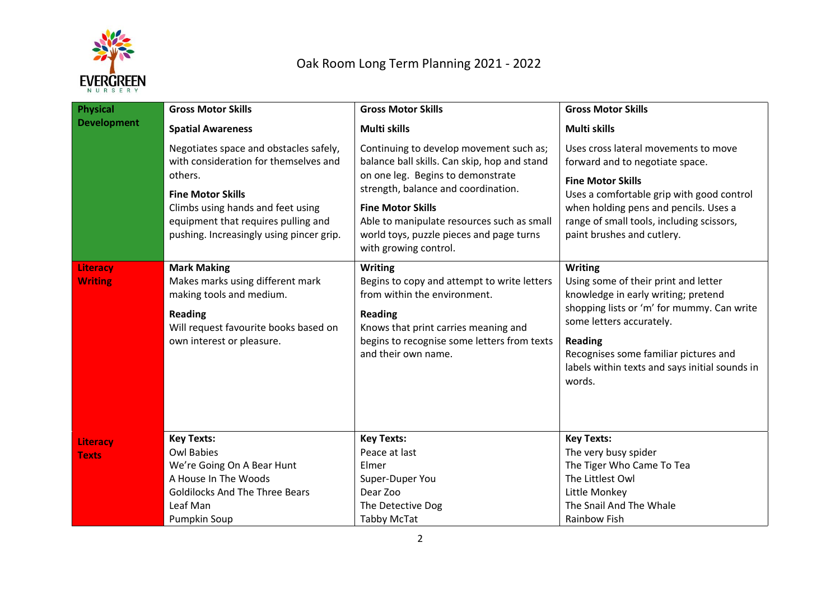

## Oak Room Long Term Planning 2021 - 2022

| <b>Physical</b>                   | <b>Gross Motor Skills</b>                                                                                                                                                  | <b>Gross Motor Skills</b>                                                                                                                                                                                                     | <b>Gross Motor Skills</b>                                                                                                                                                                                                                                                                      |
|-----------------------------------|----------------------------------------------------------------------------------------------------------------------------------------------------------------------------|-------------------------------------------------------------------------------------------------------------------------------------------------------------------------------------------------------------------------------|------------------------------------------------------------------------------------------------------------------------------------------------------------------------------------------------------------------------------------------------------------------------------------------------|
| <b>Development</b>                | <b>Spatial Awareness</b>                                                                                                                                                   | Multi skills                                                                                                                                                                                                                  | Multi skills                                                                                                                                                                                                                                                                                   |
|                                   | Negotiates space and obstacles safely,<br>with consideration for themselves and<br>others.                                                                                 | Continuing to develop movement such as;<br>balance ball skills. Can skip, hop and stand<br>on one leg. Begins to demonstrate                                                                                                  | Uses cross lateral movements to move<br>forward and to negotiate space.<br><b>Fine Motor Skills</b>                                                                                                                                                                                            |
|                                   | <b>Fine Motor Skills</b><br>Climbs using hands and feet using<br>equipment that requires pulling and<br>pushing. Increasingly using pincer grip.                           | strength, balance and coordination.<br><b>Fine Motor Skills</b><br>Able to manipulate resources such as small<br>world toys, puzzle pieces and page turns<br>with growing control.                                            | Uses a comfortable grip with good control<br>when holding pens and pencils. Uses a<br>range of small tools, including scissors,<br>paint brushes and cutlery.                                                                                                                                  |
| <b>Literacy</b><br><b>Writing</b> | <b>Mark Making</b><br>Makes marks using different mark<br>making tools and medium.<br><b>Reading</b><br>Will request favourite books based on<br>own interest or pleasure. | <b>Writing</b><br>Begins to copy and attempt to write letters<br>from within the environment.<br><b>Reading</b><br>Knows that print carries meaning and<br>begins to recognise some letters from texts<br>and their own name. | <b>Writing</b><br>Using some of their print and letter<br>knowledge in early writing; pretend<br>shopping lists or 'm' for mummy. Can write<br>some letters accurately.<br><b>Reading</b><br>Recognises some familiar pictures and<br>labels within texts and says initial sounds in<br>words. |
| <b>Literacy</b><br><b>Texts</b>   | <b>Key Texts:</b><br><b>Owl Babies</b><br>We're Going On A Bear Hunt<br>A House In The Woods<br><b>Goldilocks And The Three Bears</b><br>Leaf Man<br>Pumpkin Soup          | <b>Key Texts:</b><br>Peace at last<br>Elmer<br>Super-Duper You<br>Dear Zoo<br>The Detective Dog<br><b>Tabby McTat</b>                                                                                                         | <b>Key Texts:</b><br>The very busy spider<br>The Tiger Who Came To Tea<br>The Littlest Owl<br>Little Monkey<br>The Snail And The Whale<br><b>Rainbow Fish</b>                                                                                                                                  |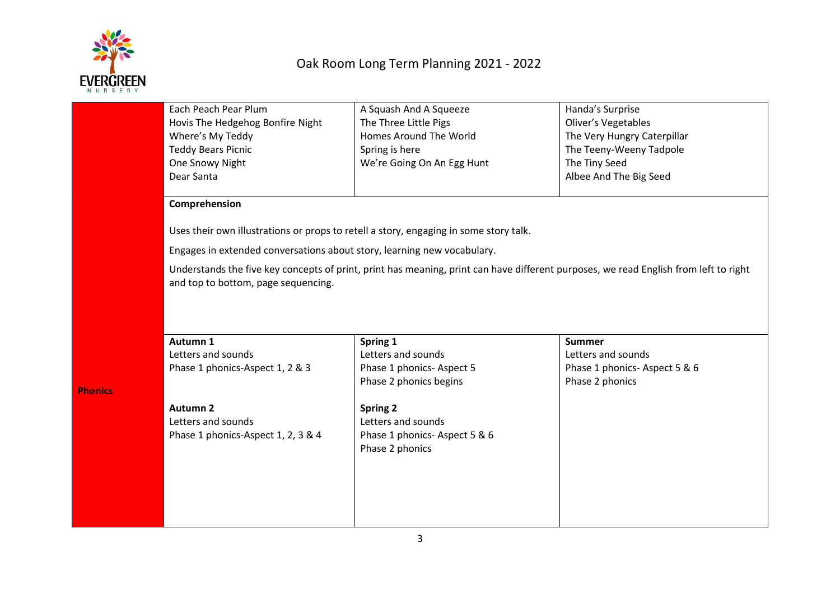

|                | Each Peach Pear Plum                                                                                                                                                                                                                                   | A Squash And A Squeeze                                                                | Handa's Surprise              |  |
|----------------|--------------------------------------------------------------------------------------------------------------------------------------------------------------------------------------------------------------------------------------------------------|---------------------------------------------------------------------------------------|-------------------------------|--|
|                | Hovis The Hedgehog Bonfire Night                                                                                                                                                                                                                       | The Three Little Pigs                                                                 | Oliver's Vegetables           |  |
|                | Where's My Teddy                                                                                                                                                                                                                                       | Homes Around The World                                                                | The Very Hungry Caterpillar   |  |
|                | <b>Teddy Bears Picnic</b>                                                                                                                                                                                                                              | Spring is here                                                                        | The Teeny-Weeny Tadpole       |  |
|                | One Snowy Night                                                                                                                                                                                                                                        | We're Going On An Egg Hunt                                                            | The Tiny Seed                 |  |
|                | Dear Santa                                                                                                                                                                                                                                             |                                                                                       | Albee And The Big Seed        |  |
|                |                                                                                                                                                                                                                                                        |                                                                                       |                               |  |
|                | Comprehension                                                                                                                                                                                                                                          |                                                                                       |                               |  |
|                |                                                                                                                                                                                                                                                        | Uses their own illustrations or props to retell a story, engaging in some story talk. |                               |  |
|                | Engages in extended conversations about story, learning new vocabulary.<br>Understands the five key concepts of print, print has meaning, print can have different purposes, we read English from left to right<br>and top to bottom, page sequencing. |                                                                                       |                               |  |
|                |                                                                                                                                                                                                                                                        |                                                                                       |                               |  |
|                |                                                                                                                                                                                                                                                        |                                                                                       |                               |  |
|                |                                                                                                                                                                                                                                                        |                                                                                       |                               |  |
|                |                                                                                                                                                                                                                                                        |                                                                                       |                               |  |
|                |                                                                                                                                                                                                                                                        |                                                                                       |                               |  |
|                | Autumn 1                                                                                                                                                                                                                                               | Spring 1                                                                              | <b>Summer</b>                 |  |
|                | Letters and sounds                                                                                                                                                                                                                                     | Letters and sounds                                                                    | Letters and sounds            |  |
|                | Phase 1 phonics-Aspect 1, 2 & 3                                                                                                                                                                                                                        | Phase 1 phonics- Aspect 5                                                             | Phase 1 phonics- Aspect 5 & 6 |  |
| <b>Phonics</b> |                                                                                                                                                                                                                                                        | Phase 2 phonics begins                                                                | Phase 2 phonics               |  |
|                |                                                                                                                                                                                                                                                        |                                                                                       |                               |  |
|                | Autumn 2                                                                                                                                                                                                                                               | <b>Spring 2</b>                                                                       |                               |  |
|                | Letters and sounds                                                                                                                                                                                                                                     | Letters and sounds                                                                    |                               |  |
|                | Phase 1 phonics-Aspect 1, 2, 3 & 4                                                                                                                                                                                                                     | Phase 1 phonics- Aspect 5 & 6                                                         |                               |  |
|                |                                                                                                                                                                                                                                                        | Phase 2 phonics                                                                       |                               |  |
|                |                                                                                                                                                                                                                                                        |                                                                                       |                               |  |
|                |                                                                                                                                                                                                                                                        |                                                                                       |                               |  |
|                |                                                                                                                                                                                                                                                        |                                                                                       |                               |  |
|                |                                                                                                                                                                                                                                                        |                                                                                       |                               |  |
|                |                                                                                                                                                                                                                                                        |                                                                                       |                               |  |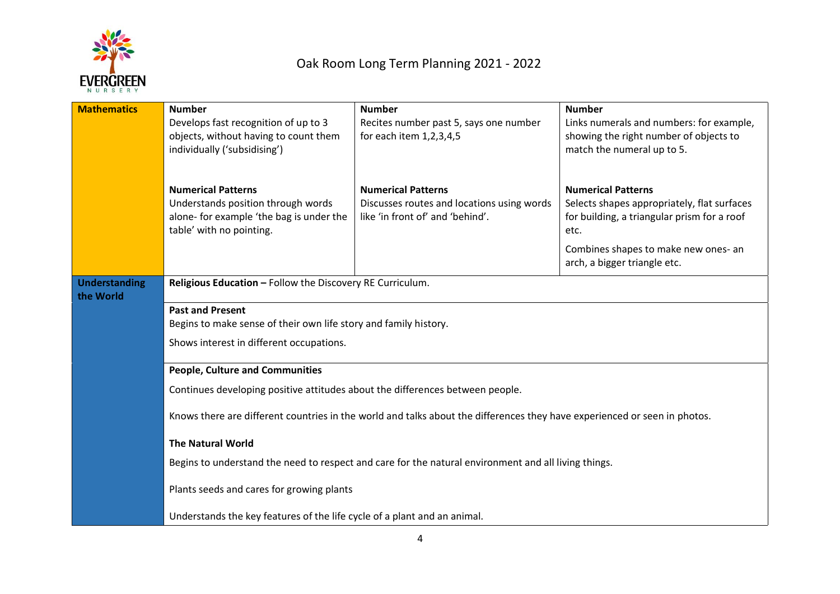

| <b>Mathematics</b>         | <b>Number</b>                                                                                                             | <b>Number</b>                              | <b>Number</b>                                       |  |
|----------------------------|---------------------------------------------------------------------------------------------------------------------------|--------------------------------------------|-----------------------------------------------------|--|
|                            | Develops fast recognition of up to 3                                                                                      | Recites number past 5, says one number     | Links numerals and numbers: for example,            |  |
|                            | objects, without having to count them                                                                                     | for each item 1,2,3,4,5                    | showing the right number of objects to              |  |
|                            | individually ('subsidising')                                                                                              |                                            | match the numeral up to 5.                          |  |
|                            |                                                                                                                           |                                            |                                                     |  |
|                            | <b>Numerical Patterns</b>                                                                                                 | <b>Numerical Patterns</b>                  | <b>Numerical Patterns</b>                           |  |
|                            | Understands position through words                                                                                        | Discusses routes and locations using words | Selects shapes appropriately, flat surfaces         |  |
|                            | alone- for example 'the bag is under the<br>table' with no pointing.                                                      | like 'in front of' and 'behind'.           | for building, a triangular prism for a roof<br>etc. |  |
|                            |                                                                                                                           |                                            | Combines shapes to make new ones- an                |  |
|                            |                                                                                                                           |                                            | arch, a bigger triangle etc.                        |  |
| Understanding<br>the World | Religious Education - Follow the Discovery RE Curriculum.                                                                 |                                            |                                                     |  |
|                            | <b>Past and Present</b>                                                                                                   |                                            |                                                     |  |
|                            | Begins to make sense of their own life story and family history.<br>Shows interest in different occupations.              |                                            |                                                     |  |
|                            |                                                                                                                           |                                            |                                                     |  |
|                            |                                                                                                                           |                                            |                                                     |  |
|                            | <b>People, Culture and Communities</b>                                                                                    |                                            |                                                     |  |
|                            | Continues developing positive attitudes about the differences between people.                                             |                                            |                                                     |  |
|                            | Knows there are different countries in the world and talks about the differences they have experienced or seen in photos. |                                            |                                                     |  |
|                            | <b>The Natural World</b>                                                                                                  |                                            |                                                     |  |
|                            | Begins to understand the need to respect and care for the natural environment and all living things.                      |                                            |                                                     |  |
|                            | Plants seeds and cares for growing plants                                                                                 |                                            |                                                     |  |
|                            | Understands the key features of the life cycle of a plant and an animal.                                                  |                                            |                                                     |  |